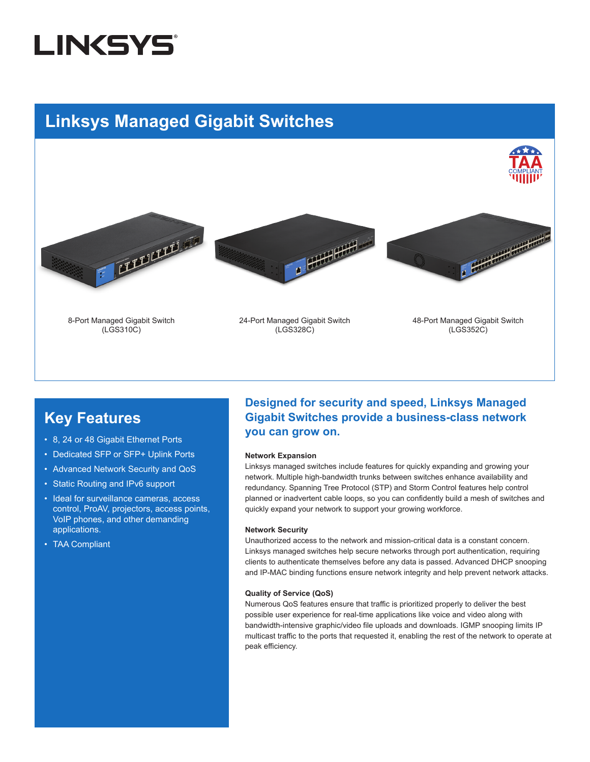# **LINKSYS**

## **Linksys Managed Gigabit Switches**









8-Port Managed Gigabit Switch (LGS310C)

24-Port Managed Gigabit Switch (LGS328C)

48-Port Managed Gigabit Switch (LGS352C)

### **Key Features**

- 8, 24 or 48 Gigabit Ethernet Ports
- Dedicated SFP or SFP+ Uplink Ports
- Advanced Network Security and QoS
- Static Routing and IPv6 support
- Ideal for surveillance cameras, access control, ProAV, projectors, access points, VoIP phones, and other demanding applications.
- TAA Compliant

### **Designed for security and speed, Linksys Managed Gigabit Switches provide a business-class network you can grow on.**

#### **Network Expansion**

Linksys managed switches include features for quickly expanding and growing your network. Multiple high-bandwidth trunks between switches enhance availability and redundancy. Spanning Tree Protocol (STP) and Storm Control features help control planned or inadvertent cable loops, so you can confidently build a mesh of switches and quickly expand your network to support your growing workforce.

#### **Network Security**

Unauthorized access to the network and mission-critical data is a constant concern. Linksys managed switches help secure networks through port authentication, requiring clients to authenticate themselves before any data is passed. Advanced DHCP snooping and IP-MAC binding functions ensure network integrity and help prevent network attacks.

#### **Quality of Service (QoS)**

Numerous QoS features ensure that traffic is prioritized properly to deliver the best possible user experience for real-time applications like voice and video along with bandwidth-intensive graphic/video file uploads and downloads. IGMP snooping limits IP multicast traffic to the ports that requested it, enabling the rest of the network to operate at peak efficiency.